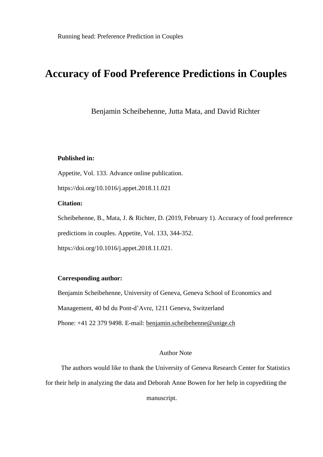# **Accuracy of Food Preference Predictions in Couples**

Benjamin Scheibehenne, Jutta Mata, and David Richter

# **Published in:**

Appetite, Vol. 133. Advance online publication.

https://doi.org/10.1016/j.appet.2018.11.021

# **Citation:**

Scheibehenne, B., Mata, J. & Richter, D. (2019, February 1). Accuracy of food preference predictions in couples. Appetite, Vol. 133, 344-352. https://doi.org/10.1016/j.appet.2018.11.021.

## **Corresponding author:**

Benjamin Scheibehenne, University of Geneva, Geneva School of Economics and Management, 40 bd du Pont-d'Avre, 1211 Geneva, Switzerland Phone: +41 22 379 9498. E-mail: benjamin.scheibehenne@unige.ch

# Author Note

The authors would like to thank the University of Geneva Research Center for Statistics for their help in analyzing the data and Deborah Anne Bowen for her help in copyediting the

manuscript.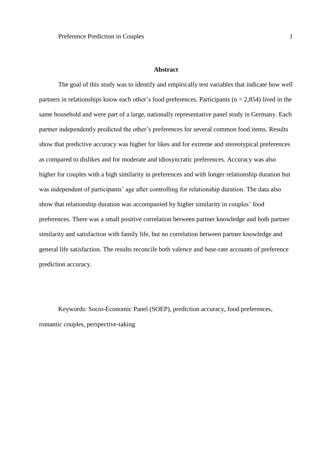#### **Abstract**

The goal of this study was to identify and empirically test variables that indicate how well partners in relationships know each other's food preferences. Participants ( $n = 2.854$ ) lived in the same household and were part of a large, nationally representative panel study in Germany. Each partner independently predicted the other's preferences for several common food items. Results show that predictive accuracy was higher for likes and for extreme and stereotypical preferences as compared to dislikes and for moderate and idiosyncratic preferences. Accuracy was also higher for couples with a high similarity in preferences and with longer relationship duration but was independent of participants' age after controlling for relationship duration. The data also show that relationship duration was accompanied by higher similarity in couples' food preferences. There was a small positive correlation between partner knowledge and both partner similarity and satisfaction with family life, but no correlation between partner knowledge and general life satisfaction. The results reconcile both valence and base-rate accounts of preference prediction accuracy.

Keywords: Socio-Economic Panel (SOEP), prediction accuracy, food preferences, romantic couples, perspective-taking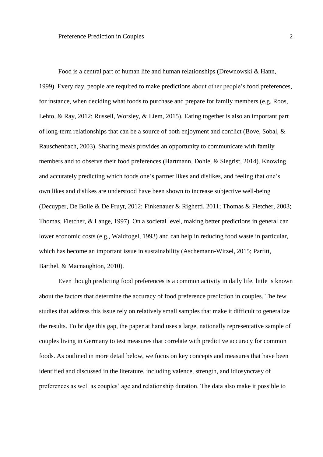Food is a central part of human life and human relationships (Drewnowski & Hann, 1999). Every day, people are required to make predictions about other people's food preferences, for instance, when deciding what foods to purchase and prepare for family members (e.g. Roos, Lehto, & Ray, 2012; Russell, Worsley, & Liem, 2015). Eating together is also an important part of long-term relationships that can be a source of both enjoyment and conflict (Bove, Sobal, & Rauschenbach, 2003). Sharing meals provides an opportunity to communicate with family members and to observe their food preferences (Hartmann, Dohle, & Siegrist, 2014). Knowing and accurately predicting which foods one's partner likes and dislikes, and feeling that one's own likes and dislikes are understood have been shown to increase subjective well-being (Decuyper, De Bolle & De Fruyt, 2012; Finkenauer & Righetti, 2011; Thomas & Fletcher, 2003; Thomas, Fletcher, & Lange, 1997). On a societal level, making better predictions in general can lower economic costs (e.g., Waldfogel, 1993) and can help in reducing food waste in particular, which has become an important issue in sustainability (Aschemann-Witzel, 2015; Parfitt, Barthel, & Macnaughton, 2010).

Even though predicting food preferences is a common activity in daily life, little is known about the factors that determine the accuracy of food preference prediction in couples. The few studies that address this issue rely on relatively small samples that make it difficult to generalize the results. To bridge this gap, the paper at hand uses a large, nationally representative sample of couples living in Germany to test measures that correlate with predictive accuracy for common foods. As outlined in more detail below, we focus on key concepts and measures that have been identified and discussed in the literature, including valence, strength, and idiosyncrasy of preferences as well as couples' age and relationship duration. The data also make it possible to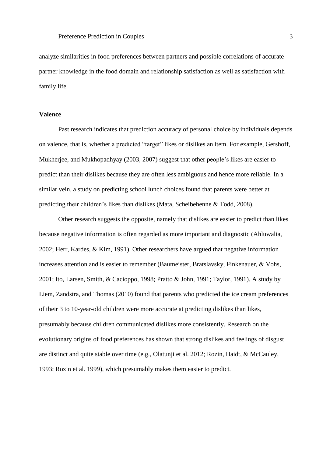analyze similarities in food preferences between partners and possible correlations of accurate partner knowledge in the food domain and relationship satisfaction as well as satisfaction with family life.

## **Valence**

Past research indicates that prediction accuracy of personal choice by individuals depends on valence, that is, whether a predicted "target" likes or dislikes an item. For example, Gershoff, Mukherjee, and Mukhopadhyay (2003, 2007) suggest that other people's likes are easier to predict than their dislikes because they are often less ambiguous and hence more reliable. In a similar vein, a study on predicting school lunch choices found that parents were better at predicting their children's likes than dislikes (Mata, Scheibehenne & Todd, 2008).

Other research suggests the opposite, namely that dislikes are easier to predict than likes because negative information is often regarded as more important and diagnostic (Ahluwalia, 2002; Herr, Kardes, & Kim, 1991). Other researchers have argued that negative information increases attention and is easier to remember (Baumeister, Bratslavsky, Finkenauer, & Vohs, 2001; Ito, Larsen, Smith, & Cacioppo, 1998; Pratto & John, 1991; Taylor, 1991). A study by Liem, Zandstra, and Thomas (2010) found that parents who predicted the ice cream preferences of their 3 to 10-year-old children were more accurate at predicting dislikes than likes, presumably because children communicated dislikes more consistently. Research on the evolutionary origins of food preferences has shown that strong dislikes and feelings of disgust are distinct and quite stable over time (e.g., Olatunji et al. 2012; Rozin, Haidt, & McCauley, 1993; Rozin et al. 1999), which presumably makes them easier to predict.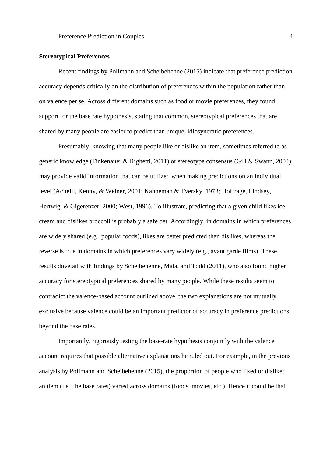## **Stereotypical Preferences**

Recent findings by Pollmann and Scheibehenne (2015) indicate that preference prediction accuracy depends critically on the distribution of preferences within the population rather than on valence per se. Across different domains such as food or movie preferences, they found support for the base rate hypothesis, stating that common, stereotypical preferences that are shared by many people are easier to predict than unique, idiosyncratic preferences.

Presumably, knowing that many people like or dislike an item, sometimes referred to as generic knowledge (Finkenauer & Righetti, 2011) or stereotype consensus (Gill & Swann, 2004), may provide valid information that can be utilized when making predictions on an individual level (Acitelli, Kenny, & Weiner, 2001; Kahneman & Tversky, 1973; Hoffrage, Lindsey, Hertwig, & Gigerenzer, 2000; West, 1996). To illustrate, predicting that a given child likes icecream and dislikes broccoli is probably a safe bet. Accordingly, in domains in which preferences are widely shared (e.g., popular foods), likes are better predicted than dislikes, whereas the reverse is true in domains in which preferences vary widely (e.g., avant garde films). These results dovetail with findings by Scheibehenne, Mata, and Todd (2011), who also found higher accuracy for stereotypical preferences shared by many people. While these results seem to contradict the valence-based account outlined above, the two explanations are not mutually exclusive because valence could be an important predictor of accuracy in preference predictions beyond the base rates.

Importantly, rigorously testing the base-rate hypothesis conjointly with the valence account requires that possible alternative explanations be ruled out. For example, in the previous analysis by Pollmann and Scheibehenne (2015), the proportion of people who liked or disliked an item (i.e., the base rates) varied across domains (foods, movies, etc.). Hence it could be that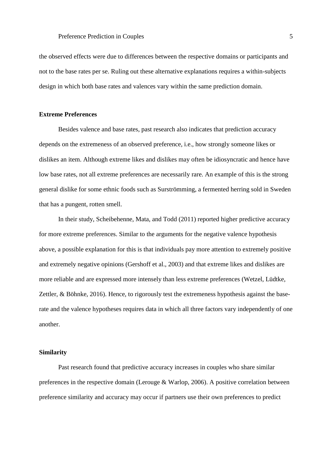the observed effects were due to differences between the respective domains or participants and not to the base rates per se. Ruling out these alternative explanations requires a within-subjects design in which both base rates and valences vary within the same prediction domain.

#### **Extreme Preferences**

Besides valence and base rates, past research also indicates that prediction accuracy depends on the extremeness of an observed preference, i.e., how strongly someone likes or dislikes an item. Although extreme likes and dislikes may often be idiosyncratic and hence have low base rates, not all extreme preferences are necessarily rare. An example of this is the strong general dislike for some ethnic foods such as Surströmming, a fermented herring sold in Sweden that has a pungent, rotten smell.

In their study, Scheibehenne, Mata, and Todd (2011) reported higher predictive accuracy for more extreme preferences. Similar to the arguments for the negative valence hypothesis above, a possible explanation for this is that individuals pay more attention to extremely positive and extremely negative opinions (Gershoff et al., 2003) and that extreme likes and dislikes are more reliable and are expressed more intensely than less extreme preferences (Wetzel, Lüdtke, Zettler, & Böhnke, 2016). Hence, to rigorously test the extremeness hypothesis against the baserate and the valence hypotheses requires data in which all three factors vary independently of one another.

#### **Similarity**

Past research found that predictive accuracy increases in couples who share similar preferences in the respective domain (Lerouge & Warlop, 2006). A positive correlation between preference similarity and accuracy may occur if partners use their own preferences to predict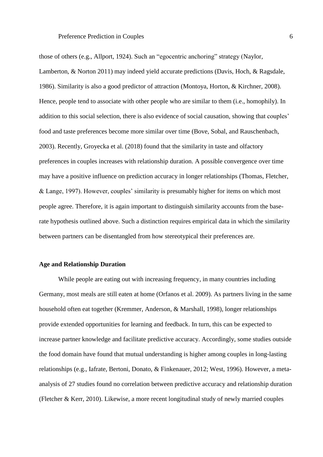those of others (e.g., Allport, 1924). Such an "egocentric anchoring" strategy (Naylor, Lamberton, & Norton 2011) may indeed yield accurate predictions (Davis, Hoch, & Ragsdale, 1986). Similarity is also a good predictor of attraction (Montoya, Horton, & Kirchner, 2008). Hence, people tend to associate with other people who are similar to them (i.e., homophily). In addition to this social selection, there is also evidence of social causation, showing that couples' food and taste preferences become more similar over time (Bove, Sobal, and Rauschenbach, 2003). Recently, Groyecka et al. (2018) found that the similarity in taste and olfactory preferences in couples increases with relationship duration. A possible convergence over time may have a positive influence on prediction accuracy in longer relationships (Thomas, Fletcher, & Lange, 1997). However, couples' similarity is presumably higher for items on which most people agree. Therefore, it is again important to distinguish similarity accounts from the baserate hypothesis outlined above. Such a distinction requires empirical data in which the similarity between partners can be disentangled from how stereotypical their preferences are.

## **Age and Relationship Duration**

While people are eating out with increasing frequency, in many countries including Germany, most meals are still eaten at home (Orfanos et al. 2009). As partners living in the same household often eat together (Kremmer, Anderson, & Marshall, 1998), longer relationships provide extended opportunities for learning and feedback. In turn, this can be expected to increase partner knowledge and facilitate predictive accuracy. Accordingly, some studies outside the food domain have found that mutual understanding is higher among couples in long-lasting relationships (e.g., Iafrate, Bertoni, Donato, & Finkenauer, 2012; West, 1996). However, a metaanalysis of 27 studies found no correlation between predictive accuracy and relationship duration (Fletcher & Kerr, 2010). Likewise, a more recent longitudinal study of newly married couples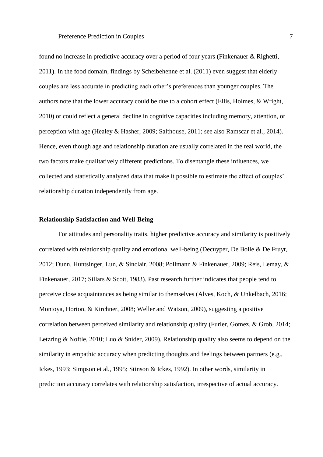found no increase in predictive accuracy over a period of four years (Finkenauer & Righetti, 2011). In the food domain, findings by Scheibehenne et al. (2011) even suggest that elderly couples are less accurate in predicting each other's preferences than younger couples. The authors note that the lower accuracy could be due to a cohort effect (Ellis, Holmes, & Wright, 2010) or could reflect a general decline in cognitive capacities including memory, attention, or perception with age (Healey & Hasher, 2009; Salthouse, 2011; see also Ramscar et al., 2014). Hence, even though age and relationship duration are usually correlated in the real world, the two factors make qualitatively different predictions. To disentangle these influences, we collected and statistically analyzed data that make it possible to estimate the effect of couples' relationship duration independently from age.

#### **Relationship Satisfaction and Well-Being**

For attitudes and personality traits, higher predictive accuracy and similarity is positively correlated with relationship quality and emotional well-being (Decuyper, De Bolle & De Fruyt, 2012; Dunn, Huntsinger, Lun, & Sinclair, 2008; Pollmann & Finkenauer, 2009; Reis, Lemay, & Finkenauer, 2017; Sillars & Scott, 1983). Past research further indicates that people tend to perceive close acquaintances as being similar to themselves (Alves, Koch, & Unkelbach, 2016; Montoya, Horton, & Kirchner, 2008; Weller and Watson, 2009), suggesting a positive correlation between perceived similarity and relationship quality (Furler, Gomez, & Grob, 2014; Letzring & Noftle, 2010; Luo & Snider, 2009). Relationship quality also seems to depend on the similarity in empathic accuracy when predicting thoughts and feelings between partners (e.g., Ickes, 1993; Simpson et al., 1995; Stinson & Ickes, 1992). In other words, similarity in prediction accuracy correlates with relationship satisfaction, irrespective of actual accuracy.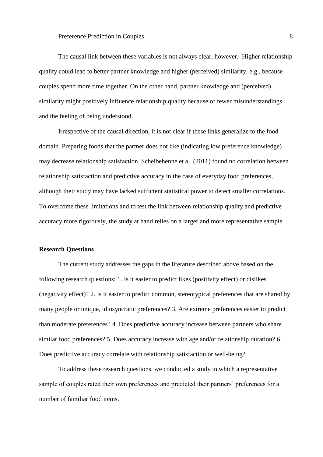The causal link between these variables is not always clear, however. Higher relationship quality could lead to better partner knowledge and higher (perceived) similarity, e.g., because couples spend more time together. On the other hand, partner knowledge and (perceived) similarity might positively influence relationship quality because of fewer misunderstandings and the feeling of being understood.

Irrespective of the causal direction, it is not clear if these links generalize to the food domain. Preparing foods that the partner does not like (indicating low preference knowledge) may decrease relationship satisfaction. Scheibehenne et al. (2011) found no correlation between relationship satisfaction and predictive accuracy in the case of everyday food preferences, although their study may have lacked sufficient statistical power to detect smaller correlations. To overcome these limitations and to test the link between relationship quality and predictive accuracy more rigorously, the study at hand relies on a larger and more representative sample.

## **Research Questions**

The current study addresses the gaps in the literature described above based on the following research questions: 1. Is it easier to predict likes (positivity effect) or dislikes (negativity effect)? 2. Is it easier to predict common, stereotypical preferences that are shared by many people or unique, idiosyncratic preferences? 3. Are extreme preferences easier to predict than moderate preferences? 4. Does predictive accuracy increase between partners who share similar food preferences? 5. Does accuracy increase with age and/or relationship duration? 6. Does predictive accuracy correlate with relationship satisfaction or well-being?

To address these research questions, we conducted a study in which a representative sample of couples rated their own preferences and predicted their partners' preferences for a number of familiar food items.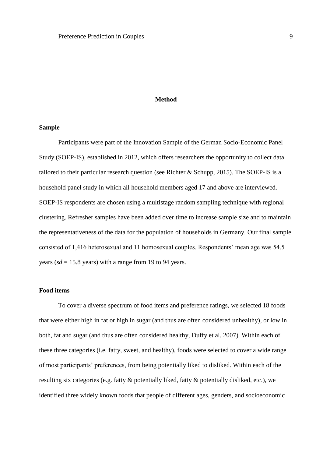## **Method**

## **Sample**

Participants were part of the Innovation Sample of the German Socio-Economic Panel Study (SOEP-IS), established in 2012, which offers researchers the opportunity to collect data tailored to their particular research question (see Richter & Schupp, 2015). The SOEP-IS is a household panel study in which all household members aged 17 and above are interviewed. SOEP-IS respondents are chosen using a multistage random sampling technique with regional clustering. Refresher samples have been added over time to increase sample size and to maintain the representativeness of the data for the population of households in Germany. Our final sample consisted of 1,416 heterosexual and 11 homosexual couples. Respondents' mean age was 54.5 years ( $sd = 15.8$  years) with a range from 19 to 94 years.

## **Food items**

To cover a diverse spectrum of food items and preference ratings, we selected 18 foods that were either high in fat or high in sugar (and thus are often considered unhealthy), or low in both, fat and sugar (and thus are often considered healthy, Duffy et al. 2007). Within each of these three categories (i.e. fatty, sweet, and healthy), foods were selected to cover a wide range of most participants' preferences, from being potentially liked to disliked. Within each of the resulting six categories (e.g. fatty & potentially liked, fatty & potentially disliked, etc.), we identified three widely known foods that people of different ages, genders, and socioeconomic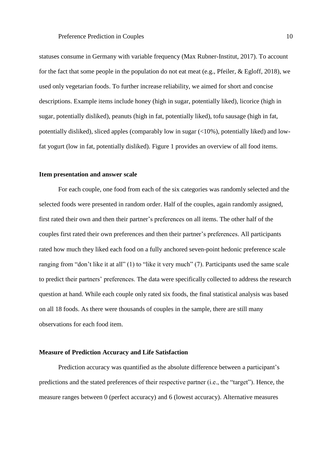statuses consume in Germany with variable frequency (Max Rubner-Institut, 2017). To account for the fact that some people in the population do not eat meat (e.g., Pfeiler, & Egloff, 2018), we used only vegetarian foods. To further increase reliability, we aimed for short and concise descriptions. Example items include honey (high in sugar, potentially liked), licorice (high in sugar, potentially disliked), peanuts (high in fat, potentially liked), tofu sausage (high in fat, potentially disliked), sliced apples (comparably low in sugar (<10%), potentially liked) and lowfat yogurt (low in fat, potentially disliked). Figure 1 provides an overview of all food items.

## **Item presentation and answer scale**

For each couple, one food from each of the six categories was randomly selected and the selected foods were presented in random order. Half of the couples, again randomly assigned, first rated their own and then their partner's preferences on all items. The other half of the couples first rated their own preferences and then their partner's preferences. All participants rated how much they liked each food on a fully anchored seven-point hedonic preference scale ranging from "don't like it at all" (1) to "like it very much" (7). Participants used the same scale to predict their partners' preferences. The data were specifically collected to address the research question at hand. While each couple only rated six foods, the final statistical analysis was based on all 18 foods. As there were thousands of couples in the sample, there are still many observations for each food item.

#### **Measure of Prediction Accuracy and Life Satisfaction**

Prediction accuracy was quantified as the absolute difference between a participant's predictions and the stated preferences of their respective partner (i.e., the "target"). Hence, the measure ranges between 0 (perfect accuracy) and 6 (lowest accuracy). Alternative measures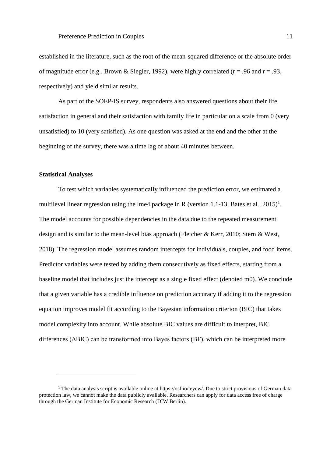established in the literature, such as the root of the mean-squared difference or the absolute order of magnitude error (e.g., Brown & Siegler, 1992), were highly correlated ( $r = .96$  and  $r = .93$ , respectively) and yield similar results.

As part of the SOEP-IS survey, respondents also answered questions about their life satisfaction in general and their satisfaction with family life in particular on a scale from 0 (very unsatisfied) to 10 (very satisfied). As one question was asked at the end and the other at the beginning of the survey, there was a time lag of about 40 minutes between.

#### **Statistical Analyses**

 $\overline{a}$ 

To test which variables systematically influenced the prediction error, we estimated a multilevel linear regression using the lme4 package in R (version 1.1-13, Bates et al.,  $2015$ )<sup>1</sup>. The model accounts for possible dependencies in the data due to the repeated measurement design and is similar to the mean-level bias approach (Fletcher & Kerr, 2010; Stern & West, 2018). The regression model assumes random intercepts for individuals, couples, and food items. Predictor variables were tested by adding them consecutively as fixed effects, starting from a baseline model that includes just the intercept as a single fixed effect (denoted m0). We conclude that a given variable has a credible influence on prediction accuracy if adding it to the regression equation improves model fit according to the Bayesian information criterion (BIC) that takes model complexity into account. While absolute BIC values are difficult to interpret, BIC differences (ΔBIC) can be transformed into Bayes factors (BF), which can be interpreted more

<sup>&</sup>lt;sup>1</sup> The data analysis script is available online at https://osf.io/teycw/. Due to strict provisions of German data protection law, we cannot make the data publicly available. Researchers can apply for data access free of charge through the German Institute for Economic Research (DIW Berlin).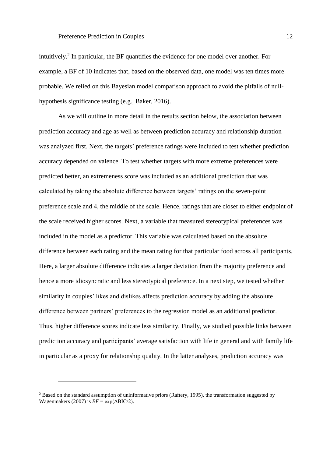intuitively.<sup>2</sup> In particular, the BF quantifies the evidence for one model over another. For example, a BF of 10 indicates that, based on the observed data, one model was ten times more probable. We relied on this Bayesian model comparison approach to avoid the pitfalls of nullhypothesis significance testing (e.g., Baker, 2016).

As we will outline in more detail in the results section below, the association between prediction accuracy and age as well as between prediction accuracy and relationship duration was analyzed first. Next, the targets' preference ratings were included to test whether prediction accuracy depended on valence. To test whether targets with more extreme preferences were predicted better, an extremeness score was included as an additional prediction that was calculated by taking the absolute difference between targets' ratings on the seven-point preference scale and 4, the middle of the scale. Hence, ratings that are closer to either endpoint of the scale received higher scores. Next, a variable that measured stereotypical preferences was included in the model as a predictor. This variable was calculated based on the absolute difference between each rating and the mean rating for that particular food across all participants. Here, a larger absolute difference indicates a larger deviation from the majority preference and hence a more idiosyncratic and less stereotypical preference. In a next step, we tested whether similarity in couples' likes and dislikes affects prediction accuracy by adding the absolute difference between partners' preferences to the regression model as an additional predictor. Thus, higher difference scores indicate less similarity. Finally, we studied possible links between prediction accuracy and participants' average satisfaction with life in general and with family life in particular as a proxy for relationship quality. In the latter analyses, prediction accuracy was

 $\overline{a}$ 

<sup>&</sup>lt;sup>2</sup> Based on the standard assumption of uninformative priors (Raftery, 1995), the transformation suggested by Wagenmakers (2007) is  $BF = \exp(\Delta BIC/2)$ .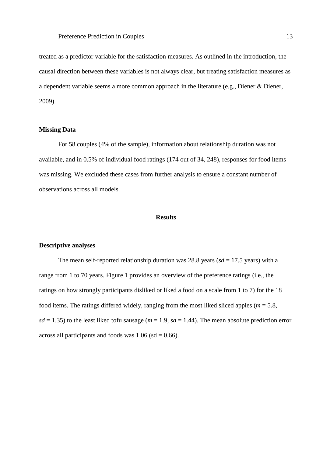treated as a predictor variable for the satisfaction measures. As outlined in the introduction, the causal direction between these variables is not always clear, but treating satisfaction measures as a dependent variable seems a more common approach in the literature (e.g., Diener & Diener, 2009).

## **Missing Data**

For 58 couples (4% of the sample), information about relationship duration was not available, and in 0.5% of individual food ratings (174 out of 34, 248), responses for food items was missing. We excluded these cases from further analysis to ensure a constant number of observations across all models.

## **Results**

#### **Descriptive analyses**

The mean self-reported relationship duration was 28.8 years ( $sd = 17.5$  years) with a range from 1 to 70 years. Figure 1 provides an overview of the preference ratings (i.e., the ratings on how strongly participants disliked or liked a food on a scale from 1 to 7) for the 18 food items. The ratings differed widely, ranging from the most liked sliced apples (*m* = 5.8,  $sd = 1.35$ ) to the least liked tofu sausage ( $m = 1.9$ ,  $sd = 1.44$ ). The mean absolute prediction error across all participants and foods was  $1.06$  (sd = 0.66).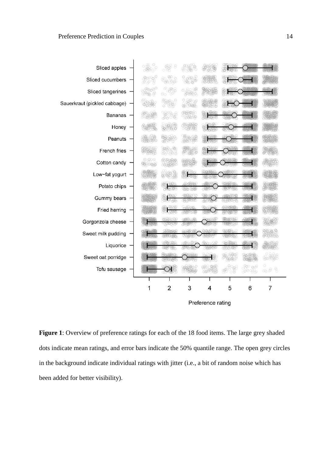

**Figure 1**: Overview of preference ratings for each of the 18 food items. The large grey shaded dots indicate mean ratings, and error bars indicate the 50% quantile range. The open grey circles in the background indicate individual ratings with jitter (i.e., a bit of random noise which has been added for better visibility).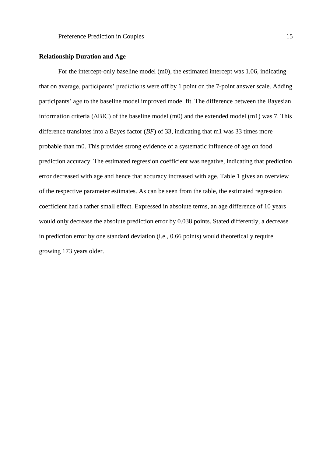## **Relationship Duration and Age**

For the intercept-only baseline model (m0), the estimated intercept was 1.06, indicating that on average, participants' predictions were off by 1 point on the 7-point answer scale. Adding participants' age to the baseline model improved model fit. The difference between the Bayesian information criteria ( $\triangle BIC$ ) of the baseline model (m0) and the extended model (m1) was 7. This difference translates into a Bayes factor (*BF*) of 33, indicating that m1 was 33 times more probable than m0. This provides strong evidence of a systematic influence of age on food prediction accuracy. The estimated regression coefficient was negative, indicating that prediction error decreased with age and hence that accuracy increased with age. Table 1 gives an overview of the respective parameter estimates. As can be seen from the table, the estimated regression coefficient had a rather small effect. Expressed in absolute terms, an age difference of 10 years would only decrease the absolute prediction error by 0.038 points. Stated differently, a decrease in prediction error by one standard deviation (i.e., 0.66 points) would theoretically require growing 173 years older.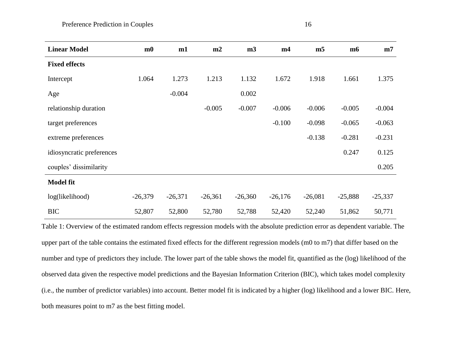| <b>Linear Model</b>       | m <sub>0</sub> | m1        | m2        | m <sub>3</sub> | m4        | m <sub>5</sub> | m6        | m7        |
|---------------------------|----------------|-----------|-----------|----------------|-----------|----------------|-----------|-----------|
| <b>Fixed effects</b>      |                |           |           |                |           |                |           |           |
| Intercept                 | 1.064          | 1.273     | 1.213     | 1.132          | 1.672     | 1.918          | 1.661     | 1.375     |
| Age                       |                | $-0.004$  |           | 0.002          |           |                |           |           |
| relationship duration     |                |           | $-0.005$  | $-0.007$       | $-0.006$  | $-0.006$       | $-0.005$  | $-0.004$  |
| target preferences        |                |           |           |                | $-0.100$  | $-0.098$       | $-0.065$  | $-0.063$  |
| extreme preferences       |                |           |           |                |           | $-0.138$       | $-0.281$  | $-0.231$  |
| idiosyncratic preferences |                |           |           |                |           |                | 0.247     | 0.125     |
| couples' dissimilarity    |                |           |           |                |           |                |           | 0.205     |
| <b>Model fit</b>          |                |           |           |                |           |                |           |           |
| log(likelihood)           | $-26,379$      | $-26,371$ | $-26,361$ | $-26,360$      | $-26,176$ | $-26,081$      | $-25,888$ | $-25,337$ |
| <b>BIC</b>                | 52,807         | 52,800    | 52,780    | 52,788         | 52,420    | 52,240         | 51,862    | 50,771    |

Table 1: Overview of the estimated random effects regression models with the absolute prediction error as dependent variable. The upper part of the table contains the estimated fixed effects for the different regression models (m0 to m7) that differ based on the number and type of predictors they include. The lower part of the table shows the model fit, quantified as the (log) likelihood of the observed data given the respective model predictions and the Bayesian Information Criterion (BIC), which takes model complexity (i.e., the number of predictor variables) into account. Better model fit is indicated by a higher (log) likelihood and a lower BIC. Here, both measures point to m7 as the best fitting model.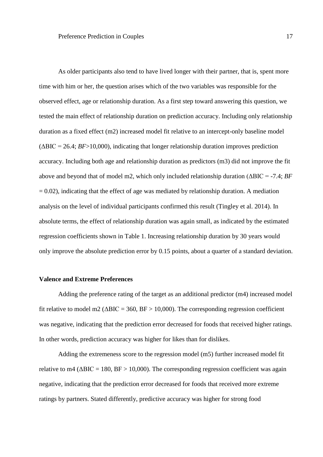As older participants also tend to have lived longer with their partner, that is, spent more time with him or her, the question arises which of the two variables was responsible for the observed effect, age or relationship duration. As a first step toward answering this question, we tested the main effect of relationship duration on prediction accuracy. Including only relationship duration as a fixed effect (m2) increased model fit relative to an intercept-only baseline model  $(\Delta BIC = 26.4; BF > 10,000)$ , indicating that longer relationship duration improves prediction accuracy. Including both age and relationship duration as predictors (m3) did not improve the fit above and beyond that of model m2, which only included relationship duration (ΔBIC = -7.4; *BF*  $= 0.02$ ), indicating that the effect of age was mediated by relationship duration. A mediation analysis on the level of individual participants confirmed this result (Tingley et al. 2014). In absolute terms, the effect of relationship duration was again small, as indicated by the estimated regression coefficients shown in Table 1. Increasing relationship duration by 30 years would only improve the absolute prediction error by 0.15 points, about a quarter of a standard deviation.

#### **Valence and Extreme Preferences**

Adding the preference rating of the target as an additional predictor (m4) increased model fit relative to model m2 ( $\triangle BIC = 360$ ,  $BF > 10,000$ ). The corresponding regression coefficient was negative, indicating that the prediction error decreased for foods that received higher ratings. In other words, prediction accuracy was higher for likes than for dislikes.

Adding the extremeness score to the regression model (m5) further increased model fit relative to m4 ( $\triangle BIC = 180$ ,  $BF > 10,000$ ). The corresponding regression coefficient was again negative, indicating that the prediction error decreased for foods that received more extreme ratings by partners. Stated differently, predictive accuracy was higher for strong food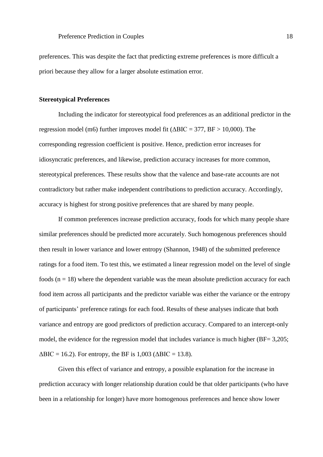preferences. This was despite the fact that predicting extreme preferences is more difficult a priori because they allow for a larger absolute estimation error.

## **Stereotypical Preferences**

Including the indicator for stereotypical food preferences as an additional predictor in the regression model (m6) further improves model fit ( $\triangle BIC = 377$ ,  $BF > 10,000$ ). The corresponding regression coefficient is positive. Hence, prediction error increases for idiosyncratic preferences, and likewise, prediction accuracy increases for more common, stereotypical preferences. These results show that the valence and base-rate accounts are not contradictory but rather make independent contributions to prediction accuracy. Accordingly, accuracy is highest for strong positive preferences that are shared by many people.

If common preferences increase prediction accuracy, foods for which many people share similar preferences should be predicted more accurately. Such homogenous preferences should then result in lower variance and lower entropy (Shannon, 1948) of the submitted preference ratings for a food item. To test this, we estimated a linear regression model on the level of single foods  $(n = 18)$  where the dependent variable was the mean absolute prediction accuracy for each food item across all participants and the predictor variable was either the variance or the entropy of participants' preference ratings for each food. Results of these analyses indicate that both variance and entropy are good predictors of prediction accuracy. Compared to an intercept-only model, the evidence for the regression model that includes variance is much higher (BF= 3,205;  $\triangle BIC = 16.2$ ). For entropy, the BF is 1,003 ( $\triangle BIC = 13.8$ ).

Given this effect of variance and entropy, a possible explanation for the increase in prediction accuracy with longer relationship duration could be that older participants (who have been in a relationship for longer) have more homogenous preferences and hence show lower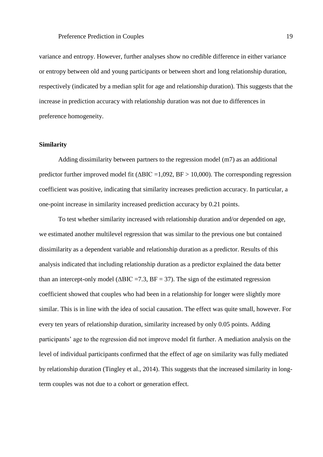variance and entropy. However, further analyses show no credible difference in either variance or entropy between old and young participants or between short and long relationship duration, respectively (indicated by a median split for age and relationship duration). This suggests that the increase in prediction accuracy with relationship duration was not due to differences in preference homogeneity.

## **Similarity**

Adding dissimilarity between partners to the regression model (m7) as an additional predictor further improved model fit ( $\triangle BIC = 1,092$ ,  $BF > 10,000$ ). The corresponding regression coefficient was positive, indicating that similarity increases prediction accuracy. In particular, a one-point increase in similarity increased prediction accuracy by 0.21 points.

To test whether similarity increased with relationship duration and/or depended on age, we estimated another multilevel regression that was similar to the previous one but contained dissimilarity as a dependent variable and relationship duration as a predictor. Results of this analysis indicated that including relationship duration as a predictor explained the data better than an intercept-only model ( $\triangle BIC = 7.3$ ,  $BF = 37$ ). The sign of the estimated regression coefficient showed that couples who had been in a relationship for longer were slightly more similar. This is in line with the idea of social causation. The effect was quite small, however. For every ten years of relationship duration, similarity increased by only 0.05 points. Adding participants' age to the regression did not improve model fit further. A mediation analysis on the level of individual participants confirmed that the effect of age on similarity was fully mediated by relationship duration (Tingley et al., 2014). This suggests that the increased similarity in longterm couples was not due to a cohort or generation effect.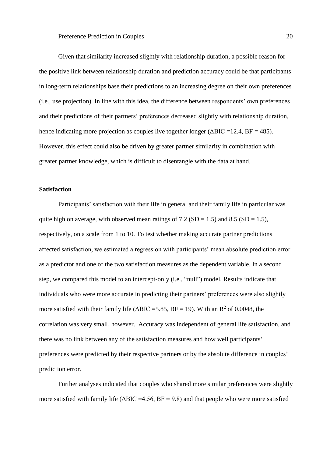Given that similarity increased slightly with relationship duration, a possible reason for the positive link between relationship duration and prediction accuracy could be that participants in long-term relationships base their predictions to an increasing degree on their own preferences (i.e., use projection). In line with this idea, the difference between respondents' own preferences and their predictions of their partners' preferences decreased slightly with relationship duration, hence indicating more projection as couples live together longer ( $\triangle BIC = 12.4$ ,  $BF = 485$ ). However, this effect could also be driven by greater partner similarity in combination with greater partner knowledge, which is difficult to disentangle with the data at hand.

## **Satisfaction**

Participants' satisfaction with their life in general and their family life in particular was quite high on average, with observed mean ratings of 7.2 (SD = 1.5) and 8.5 (SD = 1.5), respectively, on a scale from 1 to 10. To test whether making accurate partner predictions affected satisfaction, we estimated a regression with participants' mean absolute prediction error as a predictor and one of the two satisfaction measures as the dependent variable. In a second step, we compared this model to an intercept-only (i.e., "null") model. Results indicate that individuals who were more accurate in predicting their partners' preferences were also slightly more satisfied with their family life ( $\triangle BIC = 5.85$ , BF = 19). With an R<sup>2</sup> of 0.0048, the correlation was very small, however. Accuracy was independent of general life satisfaction, and there was no link between any of the satisfaction measures and how well participants' preferences were predicted by their respective partners or by the absolute difference in couples' prediction error.

Further analyses indicated that couples who shared more similar preferences were slightly more satisfied with family life ( $\triangle BIC = 4.56$ ,  $BF = 9.8$ ) and that people who were more satisfied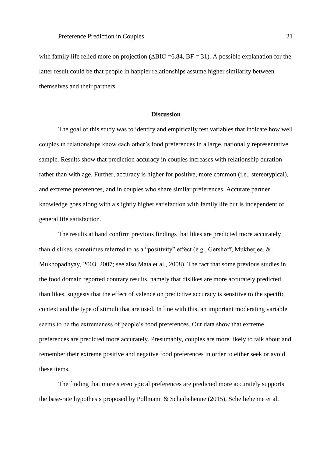with family life relied more on projection ( $\triangle BIC = 6.84$ ,  $BF = 31$ ). A possible explanation for the latter result could be that people in happier relationships assume higher similarity between themselves and their partners.

#### **Discussion**

The goal of this study was to identify and empirically test variables that indicate how well couples in relationships know each other's food preferences in a large, nationally representative sample. Results show that prediction accuracy in couples increases with relationship duration rather than with age. Further, accuracy is higher for positive, more common (i.e., stereotypical), and extreme preferences, and in couples who share similar preferences. Accurate partner knowledge goes along with a slightly higher satisfaction with family life but is independent of general life satisfaction.

The results at hand confirm previous findings that likes are predicted more accurately than dislikes, sometimes referred to as a "positivity" effect (e.g., Gershoff, Mukherjee, & Mukhopadhyay, 2003, 2007; see also Mata et al., 2008). The fact that some previous studies in the food domain reported contrary results, namely that dislikes are more accurately predicted than likes, suggests that the effect of valence on predictive accuracy is sensitive to the specific context and the type of stimuli that are used. In line with this, an important moderating variable seems to be the extremeness of people's food preferences. Our data show that extreme preferences are predicted more accurately. Presumably, couples are more likely to talk about and remember their extreme positive and negative food preferences in order to either seek or avoid these items.

The finding that more stereotypical preferences are predicted more accurately supports the base-rate hypothesis proposed by Pollmann & Scheibehenne (2015), Scheibehenne et al.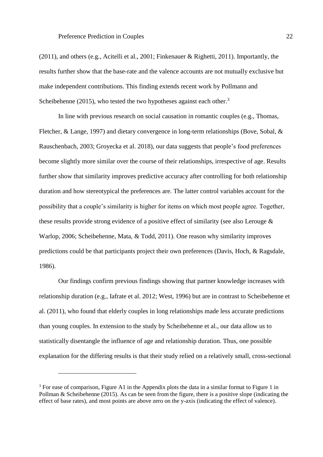(2011), and others (e.g., Acitelli et al., 2001; Finkenauer & Righetti, 2011). Importantly, the results further show that the base-rate and the valence accounts are not mutually exclusive but make independent contributions. This finding extends recent work by Pollmann and Scheibehenne (2015), who tested the two hypotheses against each other.<sup>3</sup>

In line with previous research on social causation in romantic couples (e.g., Thomas, Fletcher, & Lange, 1997) and dietary convergence in long-term relationships (Bove, Sobal, & Rauschenbach, 2003; Groyecka et al. 2018), our data suggests that people's food preferences become slightly more similar over the course of their relationships, irrespective of age. Results further show that similarity improves predictive accuracy after controlling for both relationship duration and how stereotypical the preferences are. The latter control variables account for the possibility that a couple's similarity is higher for items on which most people agree. Together, these results provide strong evidence of a positive effect of similarity (see also Lerouge & Warlop, 2006; Scheibehenne, Mata, & Todd, 2011). One reason why similarity improves predictions could be that participants project their own preferences (Davis, Hoch, & Ragsdale, 1986).

Our findings confirm previous findings showing that partner knowledge increases with relationship duration (e.g., Iafrate et al. 2012; West, 1996) but are in contrast to Scheibehenne et al. (2011), who found that elderly couples in long relationships made less accurate predictions than young couples. In extension to the study by Scheibehenne et al., our data allow us to statistically disentangle the influence of age and relationship duration. Thus, one possible explanation for the differing results is that their study relied on a relatively small, cross-sectional

 $\overline{a}$ 

<sup>&</sup>lt;sup>3</sup> For ease of comparison, Figure A1 in the Appendix plots the data in a similar format to Figure 1 in Pollman & Scheibehenne (2015). As can be seen from the figure, there is a positive slope (indicating the effect of base rates), and most points are above zero on the y-axis (indicating the effect of valence).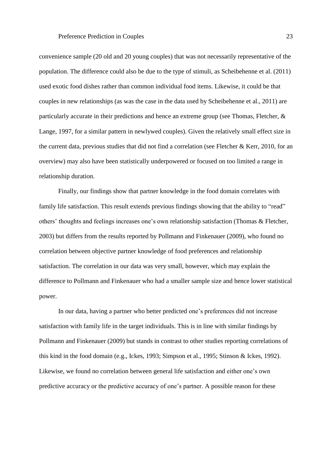convenience sample (20 old and 20 young couples) that was not necessarily representative of the population. The difference could also be due to the type of stimuli, as Scheibehenne et al. (2011) used exotic food dishes rather than common individual food items. Likewise, it could be that couples in new relationships (as was the case in the data used by Scheibehenne et al., 2011) are particularly accurate in their predictions and hence an extreme group (see Thomas, Fletcher, & Lange, 1997, for a similar pattern in newlywed couples). Given the relatively small effect size in the current data, previous studies that did not find a correlation (see Fletcher & Kerr, 2010, for an overview) may also have been statistically underpowered or focused on too limited a range in relationship duration.

Finally, our findings show that partner knowledge in the food domain correlates with family life satisfaction. This result extends previous findings showing that the ability to "read" others' thoughts and feelings increases one's own relationship satisfaction (Thomas & Fletcher, 2003) but differs from the results reported by Pollmann and Finkenauer (2009), who found no correlation between objective partner knowledge of food preferences and relationship satisfaction. The correlation in our data was very small, however, which may explain the difference to Pollmann and Finkenauer who had a smaller sample size and hence lower statistical power.

In our data, having a partner who better predicted one's preferences did not increase satisfaction with family life in the target individuals. This is in line with similar findings by Pollmann and Finkenauer (2009) but stands in contrast to other studies reporting correlations of this kind in the food domain (e.g., Ickes, 1993; Simpson et al., 1995; Stinson & Ickes, 1992). Likewise, we found no correlation between general life satisfaction and either one's own predictive accuracy or the predictive accuracy of one's partner. A possible reason for these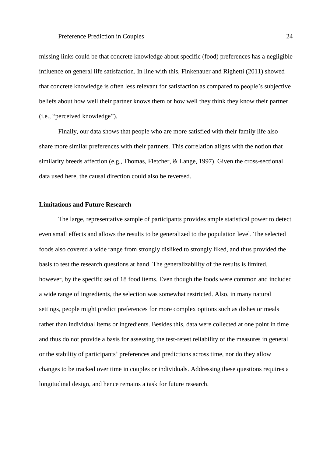missing links could be that concrete knowledge about specific (food) preferences has a negligible influence on general life satisfaction. In line with this, Finkenauer and Righetti (2011) showed that concrete knowledge is often less relevant for satisfaction as compared to people's subjective beliefs about how well their partner knows them or how well they think they know their partner (i.e., "perceived knowledge").

Finally, our data shows that people who are more satisfied with their family life also share more similar preferences with their partners. This correlation aligns with the notion that similarity breeds affection (e.g., Thomas, Fletcher, & Lange, 1997). Given the cross-sectional data used here, the causal direction could also be reversed.

## **Limitations and Future Research**

The large, representative sample of participants provides ample statistical power to detect even small effects and allows the results to be generalized to the population level. The selected foods also covered a wide range from strongly disliked to strongly liked, and thus provided the basis to test the research questions at hand. The generalizability of the results is limited, however, by the specific set of 18 food items. Even though the foods were common and included a wide range of ingredients, the selection was somewhat restricted. Also, in many natural settings, people might predict preferences for more complex options such as dishes or meals rather than individual items or ingredients. Besides this, data were collected at one point in time and thus do not provide a basis for assessing the test-retest reliability of the measures in general or the stability of participants' preferences and predictions across time, nor do they allow changes to be tracked over time in couples or individuals. Addressing these questions requires a longitudinal design, and hence remains a task for future research.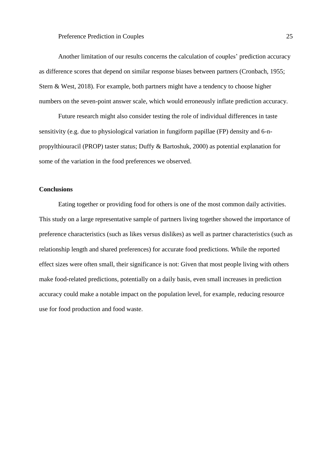Another limitation of our results concerns the calculation of couples' prediction accuracy as difference scores that depend on similar response biases between partners (Cronbach, 1955; Stern & West, 2018). For example, both partners might have a tendency to choose higher numbers on the seven-point answer scale, which would erroneously inflate prediction accuracy.

Future research might also consider testing the role of individual differences in taste sensitivity (e.g. due to physiological variation in fungiform papillae (FP) density and 6-npropylthiouracil (PROP) taster status; Duffy & Bartoshuk, 2000) as potential explanation for some of the variation in the food preferences we observed.

## **Conclusions**

Eating together or providing food for others is one of the most common daily activities. This study on a large representative sample of partners living together showed the importance of preference characteristics (such as likes versus dislikes) as well as partner characteristics (such as relationship length and shared preferences) for accurate food predictions. While the reported effect sizes were often small, their significance is not: Given that most people living with others make food-related predictions, potentially on a daily basis, even small increases in prediction accuracy could make a notable impact on the population level, for example, reducing resource use for food production and food waste.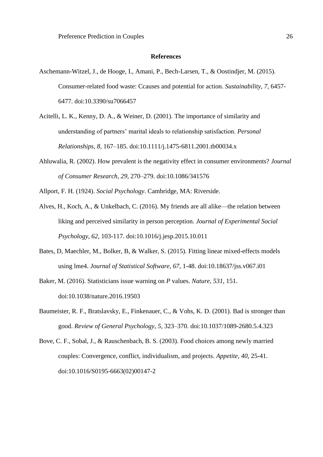#### **References**

- Aschemann-Witzel, J., de Hooge, I., Amani, P., Bech-Larsen, T., & Oostindjer, M. (2015). Consumer-related food waste: Ccauses and potential for action*. Sustainability, 7*, 6457- 6477. doi:10.3390/su7066457
- Acitelli, L. K., Kenny, D. A., & Weiner, D. (2001). The importance of similarity and understanding of partners' marital ideals to relationship satisfaction. *Personal Relationships, 8*, 167–185. doi:10.1111/j.1475-6811.2001.tb00034.x
- Ahluwalia, R. (2002). How prevalent is the negativity effect in consumer environments? *Journal of Consumer Research*, *29*, 270–279. doi:10.1086/341576
- Allport, F. H. (1924). *Social Psychology*. Cambridge, MA: Riverside.
- Alves, H., Koch, A., & Unkelbach, C. (2016). My friends are all alike—the relation between liking and perceived similarity in person perception*. Journal of Experimental Social Psychology, 62*, 103-117. doi:10.1016/j.jesp.2015.10.011
- Bates, D, Maechler, M., Bolker, B, & Walker, S. (2015). Fitting linear mixed-effects models using lme4. *Journal of Statistical Software, 67*, 1-48. doi:10.18637/jss.v067.i01
- Baker, M. (2016). Statisticians issue warning on *P* values. *Nature, 531*, 151. doi:10.1038/nature.2016.19503
- Baumeister, R. F., Bratslavsky, E., Finkenauer, C., & Vohs, K. D. (2001). Bad is stronger than good. *Review of General Psychology*, *5*, 323–370. doi:10.1037/1089-2680.5.4.323
- Bove, C. F., Sobal, J., & Rauschenbach, B. S. (2003). Food choices among newly married couples: Convergence, conflict, individualism, and projects. *Appetite, 40*, 25-41. doi:10.1016/S0195-6663(02)00147-2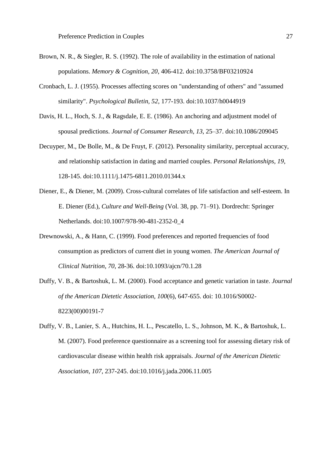- Brown, N. R., & Siegler, R. S. (1992). The role of availability in the estimation of national populations. *Memory & Cognition, 20*, 406-412. doi:10.3758/BF03210924
- Cronbach, L. J. (1955). Processes affecting scores on "understanding of others" and "assumed similarity". *Psychological Bulletin, 52*, 177-193. doi:10.1037/h0044919
- Davis, H. L., Hoch, S. J., & Ragsdale, E. E. (1986). An anchoring and adjustment model of spousal predictions. *Journal of Consumer Research*, *13*, 25–37. doi:10.1086/209045
- Decuyper, M., De Bolle, M., & De Fruyt, F. (2012). Personality similarity, perceptual accuracy, and relationship satisfaction in dating and married couples. *Personal Relationships, 19*, 128-145. doi:10.1111/j.1475-6811.2010.01344.x
- Diener, E., & Diener, M. (2009). Cross-cultural correlates of life satisfaction and self-esteem. In E. Diener (Ed.), *Culture and Well-Being* (Vol. 38, pp. 71–91). Dordrecht: Springer Netherlands. doi:10.1007/978-90-481-2352-0\_4
- Drewnowski, A., & Hann, C. (1999). Food preferences and reported frequencies of food consumption as predictors of current diet in young women. *The American Journal of Clinical Nutrition*, *70*, 28-36. doi:10.1093/ajcn/70.1.28
- Duffy, V. B., & Bartoshuk, L. M. (2000). Food acceptance and genetic variation in taste. *Journal of the American Dietetic Association, 100*(6), 647-655. doi: 10.1016/S0002- 8223(00)00191-7
- Duffy, V. B., Lanier, S. A., Hutchins, H. L., Pescatello, L. S., Johnson, M. K., & Bartoshuk, L. M. (2007). Food preference questionnaire as a screening tool for assessing dietary risk of cardiovascular disease within health risk appraisals. *Journal of the American Dietetic Association*, *107*, 237-245. doi:10.1016/j.jada.2006.11.005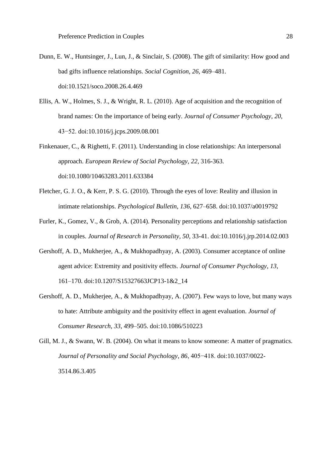- Dunn, E. W., Huntsinger, J., Lun, J., & Sinclair, S. (2008). The gift of similarity: How good and bad gifts influence relationships. *Social Cognition*, *26*, 469–481. doi:10.1521/soco.2008.26.4.469
- Ellis, A. W., Holmes, S. J., & Wright, R. L. (2010). Age of acquisition and the recognition of brand names: On the importance of being early. *Journal of Consumer Psychology*, *20*, 43−52. doi:10.1016/j.jcps.2009.08.001
- Finkenauer, C., & Righetti, F. (2011). Understanding in close relationships: An interpersonal approach. *European Review of Social Psychology, 22*, 316-363. doi:10.1080/10463283.2011.633384
- Fletcher, G. J. O., & Kerr, P. S. G. (2010). Through the eyes of love: Reality and illusion in intimate relationships. *Psychological Bulletin*, *136*, 627–658. doi:10.1037/a0019792
- Furler, K., Gomez, V., & Grob, A. (2014). Personality perceptions and relationship satisfaction in couples. *Journal of Research in Personality, 50*, 33-41. doi:10.1016/j.jrp.2014.02.003
- Gershoff, A. D., Mukherjee, A., & Mukhopadhyay, A. (2003). Consumer acceptance of online agent advice: Extremity and positivity effects. *Journal of Consumer Psychology*, *13*, 161–170. doi:10.1207/S15327663JCP13-1&2\_14
- Gershoff, A. D., Mukherjee, A., & Mukhopadhyay, A. (2007). Few ways to love, but many ways to hate: Attribute ambiguity and the positivity effect in agent evaluation. *Journal of Consumer Research*, *33*, 499–505. doi:10.1086/510223
- Gill, M. J., & Swann, W. B. (2004). On what it means to know someone: A matter of pragmatics. *Journal of Personality and Social Psychology*, *86*, 405−418. doi:10.1037/0022- 3514.86.3.405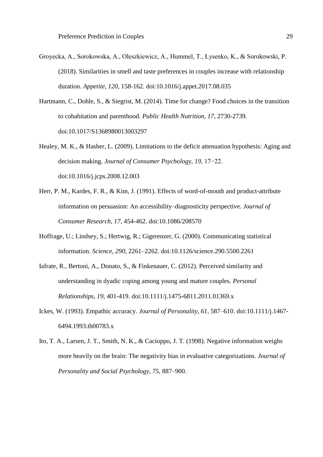- Groyecka, A., Sorokowska, A., Oleszkiewicz, A., Hummel, T., Łysenko, K., & Sorokowski, P. (2018). Similarities in smell and taste preferences in couples increase with relationship duration. *Appetite, 120*, 158-162. doi:10.1016/j.appet.2017.08.035
- Hartmann, C., Dohle, S., & Siegrist, M. (2014). Time for change? Food choices in the transition to cohabitation and parenthood*. Public Health Nutrition, 17*, 2730-2739. doi:10.1017/S1368980013003297
- Healey, M. K., & Hasher, L. (2009). Limitations to the deficit attenuation hypothesis: Aging and decision making. *Journal of Consumer Psychology*, *19*, 17−22. doi:10.1016/j.jcps.2008.12.003
- Herr, P. M., Kardes, F. R., & Kim, J. (1991). Effects of word-of-mouth and product-attribute information on persuasion: An accessibility–diagnosticity perspective. *Journal of Consumer Research*, *17*, 454-462. doi:10.1086/208570
- Hoffrage, U.; Lindsey, S.; Hertwig, R.; Gigerenzer, G. (2000). Communicating statistical information. *Science, 290,* 2261–2262. doi:10.1126/science.290.5500.2261
- Iafrate, R., Bertoni, A., Donato, S., & Finkenauer, C. (2012). Perceived similarity and understanding in dyadic coping among young and mature couples. *Personal Relationships, 19*, 401-419. doi:10.1111/j.1475-6811.2011.01369.x
- Ickes, W. (1993). Empathic accuracy. *Journal of Personality*, *61*, 587–610. doi:10.1111/j.1467- 6494.1993.tb00783.x
- Ito, T. A., Larsen, J. T., Smith, N. K., & Cacioppo, J. T. (1998). Negative information weighs more heavily on the brain: The negativity bias in evaluative categorizations. *Journal of Personality and Social Psychology*, *75*, 887–900.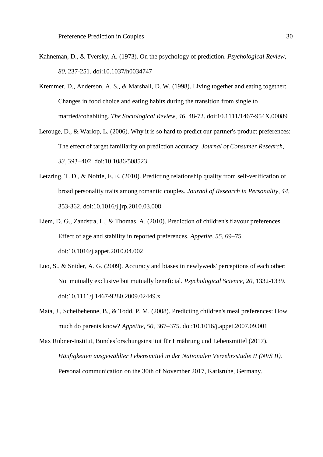- Kahneman, D., & Tversky, A. (1973). On the psychology of prediction. *Psychological Review, 80*, 237-251. doi:10.1037/h0034747
- Kremmer, D., Anderson, A. S., & Marshall, D. W. (1998). Living together and eating together: Changes in food choice and eating habits during the transition from single to married/cohabiting*. The Sociological Review, 46*, 48-72. doi:10.1111/1467-954X.00089
- Lerouge, D., & Warlop, L. (2006). Why it is so hard to predict our partner's product preferences: The effect of target familiarity on prediction accuracy. *Journal of Consumer Research*, *33*, 393−402. doi:10.1086/508523
- Letzring, T. D., & Noftle, E. E. (2010). Predicting relationship quality from self-verification of broad personality traits among romantic couples. *Journal of Research in Personality*, *44*, 353-362. doi:10.1016/j.jrp.2010.03.008
- Liem, D. G., Zandstra, L., & Thomas, A. (2010). Prediction of children's flavour preferences. Effect of age and stability in reported preferences. *Appetite*, *55*, 69–75. doi:10.1016/j.appet.2010.04.002
- Luo, S., & Snider, A. G. (2009). Accuracy and biases in newlyweds' perceptions of each other: Not mutually exclusive but mutually beneficial. *Psychological Science*, *20*, 1332-1339. doi:10.1111/j.1467-9280.2009.02449.x
- Mata, J., Scheibehenne, B., & Todd, P. M. (2008). Predicting children's meal preferences: How much do parents know? *Appetite*, *50*, 367–375. doi:10.1016/j.appet.2007.09.001
- Max Rubner-Institut, Bundesforschungsinstitut für Ernährung und Lebensmittel (2017). *Häufigkeiten ausgewählter Lebensmittel in der Nationalen Verzehrsstudie II (NVS II).* Personal communication on the 30th of November 2017, Karlsruhe, Germany.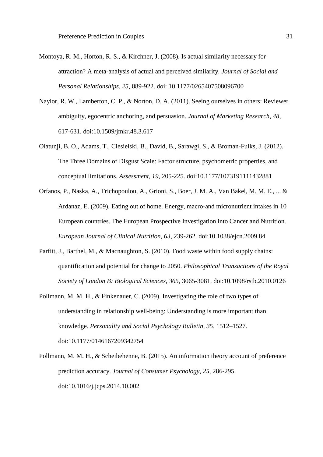- Montoya, R. M., Horton, R. S., & Kirchner, J. (2008). Is actual similarity necessary for attraction? A meta-analysis of actual and perceived similarity. *Journal of Social and Personal Relationships, 25*, 889-922. doi: 10.1177/0265407508096700
- Naylor, R. W., Lamberton, C. P., & Norton, D. A. (2011). Seeing ourselves in others: Reviewer ambiguity, egocentric anchoring, and persuasion. *Journal of Marketing Research*, *48*, 617-631. doi:10.1509/jmkr.48.3.617
- Olatunji, B. O., Adams, T., Ciesielski, B., David, B., Sarawgi, S., & Broman-Fulks, J. (2012). The Three Domains of Disgust Scale: Factor structure, psychometric properties, and conceptual limitations. *Assessment, 19*, 205-225. doi:10.1177/1073191111432881
- Orfanos, P., Naska, A., Trichopoulou, A., Grioni, S., Boer, J. M. A., Van Bakel, M. M. E., ... & Ardanaz, E. (2009). Eating out of home. Energy, macro-and micronutrient intakes in 10 European countries. The European Prospective Investigation into Cancer and Nutrition. *European Journal of Clinical Nutrition, 63*, 239-262. doi:10.1038/ejcn.2009.84
- Parfitt, J., Barthel, M., & Macnaughton, S. (2010). Food waste within food supply chains: quantification and potential for change to 2050. *Philosophical Transactions of the Royal Society of London B: Biological Sciences, 365*, 3065-3081. doi:10.1098/rstb.2010.0126
- Pollmann, M. M. H., & Finkenauer, C. (2009). Investigating the role of two types of understanding in relationship well-being: Understanding is more important than knowledge. *Personality and Social Psychology Bulletin, 35*, 1512–1527. doi:10.1177/0146167209342754
- Pollmann, M. M. H., & Scheibehenne, B. (2015). An information theory account of preference prediction accuracy. *Journal of Consumer Psychology*, *25*, 286-295. doi:10.1016/j.jcps.2014.10.002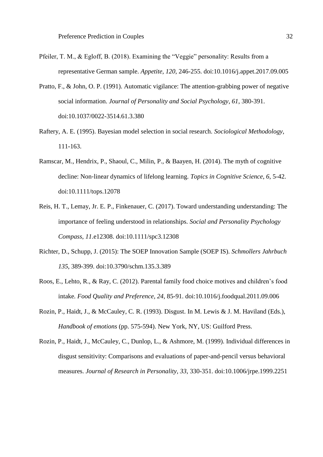- Pfeiler, T. M., & Egloff, B. (2018). Examining the "Veggie" personality: Results from a representative German sample. *Appetite, 120*, 246-255. doi:10.1016/j.appet.2017.09.005
- Pratto, F., & John, O. P. (1991). Automatic vigilance: The attention-grabbing power of negative social information. *Journal of Personality and Social Psychology*, *61*, 380-391. doi:10.1037/0022-3514.61.3.380
- Raftery, A. E. (1995). Bayesian model selection in social research. *Sociological Methodology*, 111-163.
- Ramscar, M., Hendrix, P., Shaoul, C., Milin, P., & Baayen, H. (2014). The myth of cognitive decline: Non‐linear dynamics of lifelong learning. *Topics in Cognitive Science*, *6*, 5-42. doi:10.1111/tops.12078
- Reis, H. T., Lemay, Jr. E. P., Finkenauer, C. (2017). Toward understanding understanding: The importance of feeling understood in relationships. *Social and Personality Psychology Compass*, *11*.e12308. doi:10.1111/spc3.12308
- Richter, D., Schupp, J. (2015): The SOEP Innovation Sample (SOEP IS). *Schmollers Jahrbuch 135*, 389-399. doi:10.3790/schm.135.3.389
- Roos, E., Lehto, R., & Ray, C. (2012). Parental family food choice motives and children's food intake*. Food Quality and Preference, 24*, 85-91. doi:10.1016/j.foodqual.2011.09.006
- Rozin, P., Haidt, J., & McCauley, C. R. (1993). Disgust. In M. Lewis & J. M. Haviland (Eds.), *Handbook of emotions* (pp. 575-594). New York, NY, US: Guilford Press.
- Rozin, P., Haidt, J., McCauley, C., Dunlop, L., & Ashmore, M. (1999). Individual differences in disgust sensitivity: Comparisons and evaluations of paper-and-pencil versus behavioral measures. *Journal of Research in Personality, 33*, 330-351. doi:10.1006/jrpe.1999.2251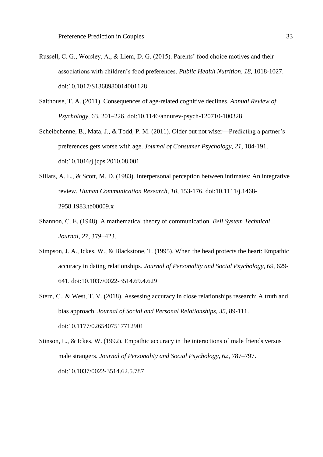- Russell, C. G., Worsley, A., & Liem, D. G. (2015). Parents' food choice motives and their associations with children's food preferences. *Public Health Nutrition, 18*, 1018-1027. doi:10.1017/S1368980014001128
- Salthouse, T. A. (2011). Consequences of age-related cognitive declines. *Annual Review of Psychology*, 63, 201–226. doi:10.1146/annurev-psych-120710-100328
- Scheibehenne, B., Mata, J., & Todd, P. M. (2011). Older but not wiser—Predicting a partner's preferences gets worse with age. *Journal of Consumer Psychology, 21*, 184-191. doi:10.1016/j.jcps.2010.08.001
- Sillars, A. L., & Scott, M. D. (1983). Interpersonal perception between intimates: An integrative review. *Human Communication Research*, *10*, 153-176. doi:10.1111/j.1468- 2958.1983.tb00009.x
- Shannon, C. E. (1948). A mathematical theory of communication. *Bell System Technical Journal, 27*, 379−423.
- Simpson, J. A., Ickes, W., & Blackstone, T. (1995). When the head protects the heart: Empathic accuracy in dating relationships. *Journal of Personality and Social Psychology*, *69*, 629- 641. doi:10.1037/0022-3514.69.4.629
- Stern, C., & West, T. V. (2018). Assessing accuracy in close relationships research: A truth and bias approach. *Journal of Social and Personal Relationships, 35*, 89-111. doi:10.1177/0265407517712901
- Stinson, L., & Ickes, W. (1992). Empathic accuracy in the interactions of male friends versus male strangers. *Journal of Personality and Social Psychology*, *62*, 787–797. doi:10.1037/0022-3514.62.5.787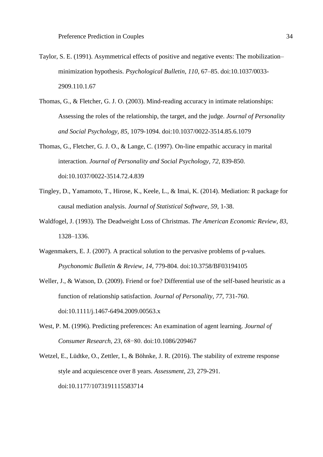- Taylor, S. E. (1991). Asymmetrical effects of positive and negative events: The mobilization– minimization hypothesis. *Psychological Bulletin*, *110*, 67–85. doi:10.1037/0033- 2909.110.1.67
- Thomas, G., & Fletcher, G. J. O. (2003). Mind-reading accuracy in intimate relationships: Assessing the roles of the relationship, the target, and the judge. *Journal of Personality and Social Psychology, 85*, 1079-1094. doi:10.1037/0022-3514.85.6.1079
- Thomas, G., Fletcher, G. J. O., & Lange, C. (1997). On-line empathic accuracy in marital interaction. *Journal of Personality and Social Psychology*, *72*, 839-850. doi:10.1037/0022-3514.72.4.839
- Tingley, D., Yamamoto, T., Hirose, K., Keele, L., & Imai, K. (2014). Mediation: R package for causal mediation analysis. *Journal of Statistical Software, 59*, 1-38.
- Waldfogel, J. (1993). The Deadweight Loss of Christmas. *The American Economic Review, 83,* 1328–1336.
- Wagenmakers, E. J. (2007). A practical solution to the pervasive problems of p-values. *Psychonomic Bulletin & Review, 14*, 779-804. doi:10.3758/BF03194105
- Weller, J., & Watson, D. (2009). Friend or foe? Differential use of the self-based heuristic as a function of relationship satisfaction. *Journal of Personality*, *77*, 731-760. doi:10.1111/j.1467-6494.2009.00563.x
- West, P. M. (1996). Predicting preferences: An examination of agent learning. *Journal of Consumer Research, 23*, 68−80. doi:10.1086/209467
- Wetzel, E., Lüdtke, O., Zettler, I., & Böhnke, J. R. (2016). The stability of extreme response style and acquiescence over 8 years. *Assessment, 23*, 279-291. doi:10.1177/1073191115583714